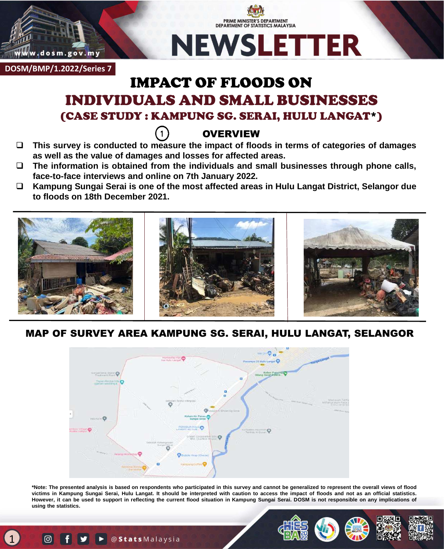

# PRIME MINISTER'S DEPARTMENT **DEPARTMENT OF STATISTICS MALAYSIA NEWSLETTER**

**DOSM/BMP/1.2022/Series 7**

# IMPACT OF FLOODS ON INDIVIDUALS AND SMALL BUSINESSES (CASE STUDY : KAMPUNG SG. SERAI, HULU LANGAT\*)

# **OVERVIEW**

- **This survey is conducted to measure the impact of floods in terms of categories of damages as well as the value of damages and losses for affected areas.**
- **The information is obtained from the individuals and small businesses through phone calls, face-to-face interviews and online on 7th January 2022.**
- **Kampung Sungai Serai is one of the most affected areas in Hulu Langat District, Selangor due to floods on 18th December 2021.**



## MAP OF SURVEY AREA KAMPUNG SG. SERAI, HULU LANGAT, SELANGOR



\*Note: The presented analysis is based on respondents who participated in this survey and cannot be generalized to represent the overall views of flood victims in Kampung Sungai Serai, Hulu Langat. It should be interpreted with caution to access the impact of floods and not as an official statistics. However, it can be used to support in reflecting the current flood situation in Kampung Sungai Serai. DOSM is not responsible on any implications of **using the statistics.**



1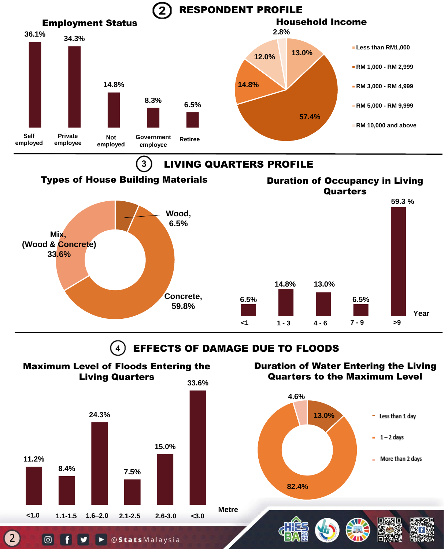

EFFECTS OF DAMAGE DUE TO FLOODS  $\overline{4}$ 

**<1 1 - 3 4 - 6 7 - 9 >9**

**Year**

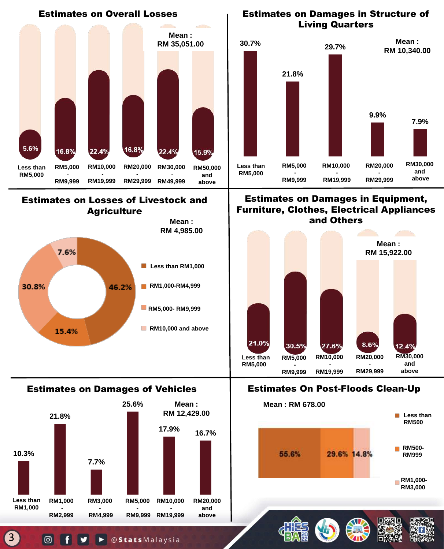

▶ @ Stats Malaysia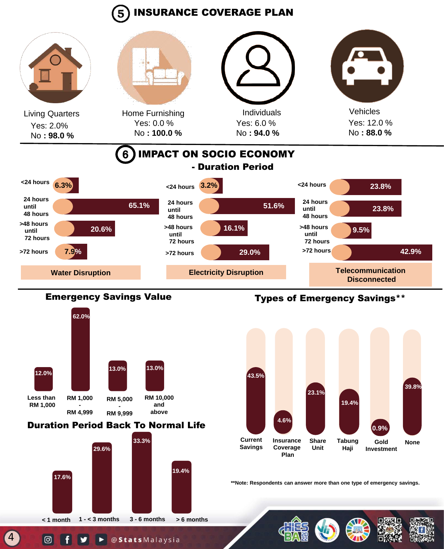# INSURANCE COVERAGE PLAN





### Duration Period Back To Normal Life



## Emergency Savings Value Types of Emergency Savings\*\*



**\*\*Note: Respondents can answer more than one type of emergency savings.**

4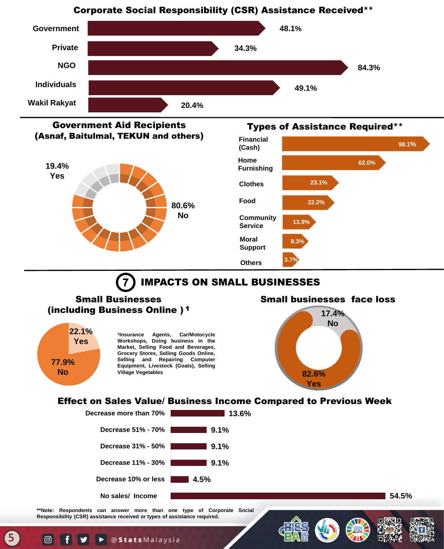#### Corporate Social Responsibility (CSR) Assistance Received\*\*







#### Types of Assistance Required\*\*



## IMPACTS ON SMALL BUSINESSES

#### Small Businesses (including Business Online ) <sup>1</sup>



5

**o** 

**1 Insurance Agents, Car/Motocycle Workshops, Doing business in the Market, Selling Food and Beverages, Grocery Stores, Selling Goods Online, Selling and Repairing Computer Equipment, Livestock (Goats), Selling Village Vegetables**





#### Effect on Sales Value/ Business Income Compared to Previous Week



**\*\*Note: Respondents can answer more than one type of Corporate Social Responsibility (CSR) assistance received or types of assistance required.**

@StatsMalaysia